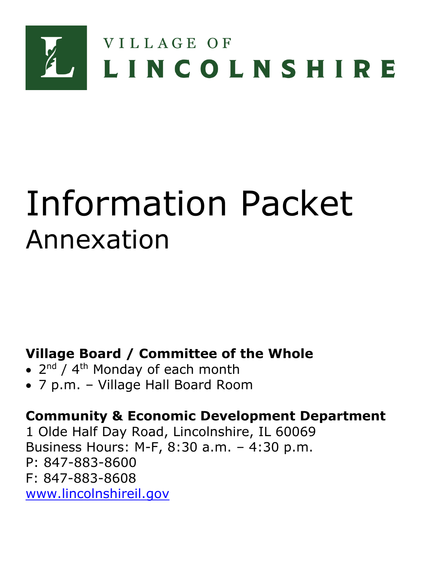

# Information Packet Annexation

**Village Board / Committee of the Whole**

- 2<sup>nd</sup> / 4<sup>th</sup> Monday of each month
- 7 p.m. Village Hall Board Room

# **Community & Economic Development Department**

1 Olde Half Day Road, Lincolnshire, IL 60069 Business Hours: M-F, 8:30 a.m. – 4:30 p.m. P: 847-883-8600 F: 847-883-8608 [www.lincolnshireil.gov](http://www.lincolnshireil.gov/)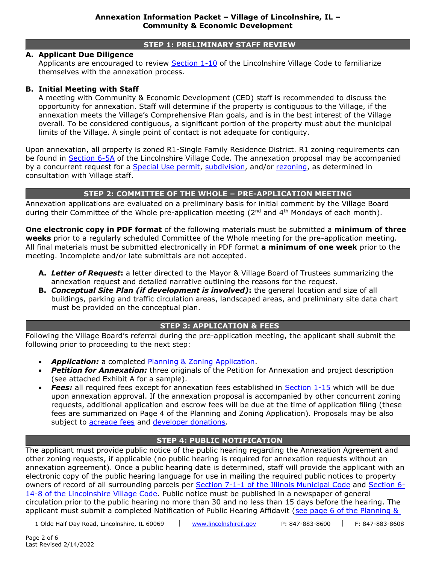#### **STEP 1: PRELIMINARY STAFF REVIEW**

#### **A. Applicant Due Diligence**

Applicants are encouraged to review [Section 1-10](https://www.lincolnshireil.gov/sitemedia/documents/quick_links/village-code/title-1/code0110.pdf) of the Lincolnshire Village Code to familiarize themselves with the annexation process.

#### **B. Initial Meeting with Staff**

A meeting with Community & Economic Development (CED) staff is recommended to discuss the opportunity for annexation. Staff will determine if the property is contiguous to the Village, if the annexation meets the Village's Comprehensive Plan goals, and is in the best interest of the Village overall. To be considered contiguous, a significant portion of the property must abut the municipal limits of the Village. A single point of contact is not adequate for contiguity.

Upon annexation, all property is zoned R1-Single Family Residence District. R1 zoning requirements can be found in [Section 6-5A](https://www.lincolnshireil.gov/sitemedia/documents/quick_links/village-code/title-6/code0605a.pdf) of the Lincolnshire Village Code. The annexation proposal may be accompanied by a concurrent request for a [Special Use permit,](https://www.lincolnshireil.gov/sitemedia/documents/quick_links/permits-applications-policies/special-use-supplemental-information-packet.pdf) [subdivision,](https://www.lincolnshireil.gov/sitemedia/documents/quick_links/permits-applications-policies/subdivision-supplemental-Info-packet.pdf) and/or [rezoning,](https://www.lincolnshireil.gov/sitemedia/documents/quick_links/permits-applications-policies/rezoning_info_packet.pdf) as determined in consultation with Village staff.

#### **STEP 2: COMMITTEE OF THE WHOLE – PRE-APPLICATION MEETING**

Annexation applications are evaluated on a preliminary basis for initial comment by the Village Board during their Committee of the Whole pre-application meeting ( $2<sup>nd</sup>$  and  $4<sup>th</sup>$  Mondays of each month).

**One electronic copy in PDF format** of the following materials must be submitted a **minimum of three weeks** prior to a regularly scheduled Committee of the Whole meeting for the pre-application meeting. All final materials must be submitted electronically in PDF format **a minimum of one week** prior to the meeting. Incomplete and/or late submittals are not accepted.

- **A.** *Letter of Request***:** a letter directed to the Mayor & Village Board of Trustees summarizing the annexation request and detailed narrative outlining the reasons for the request.
- **B.** *Conceptual Site Plan (if development is involved)***:** the general location and size of all buildings, parking and traffic circulation areas, landscaped areas, and preliminary site data chart must be provided on the conceptual plan.

#### **STEP 3: APPLICATION & FEES**

Following the Village Board's referral during the pre-application meeting, the applicant shall submit the following prior to proceeding to the next step:

- **Application:** a completed [Planning & Zoning Application.](https://www.lincolnshireil.gov/sitemedia/documents/quick_links/permits-applications-policies/Plan_Zoning_App.pdf)
- **Petition for Annexation:** three originals of the Petition for Annexation and project description (see attached Exhibit A for a sample).
- *Fees:* all required fees except for annexation fees established in [Section 1-15](https://www.lincolnshireil.gov/sitemedia/documents/quick_links/village-code/title-1/code0115.pdf) which will be due upon annexation approval. If the annexation proposal is accompanied by other concurrent zoning requests, additional application and escrow fees will be due at the time of application filing (these fees are summarized on Page 4 of the Planning and Zoning Application). Proposals may be also subject to [acreage fees](https://www.lincolnshireil.gov/sitemedia/documents/quick_links/village-code/title-7/code0704.pdf) and [developer donations.](https://www.lincolnshireil.gov/sitemedia/documents/quick_links/permits-applications-policies/Developer_Donations1.pdf)

# **STEP 4: PUBLIC NOTIFICATION**

The applicant must provide public notice of the public hearing regarding the Annexation Agreement and other zoning requests, if applicable (no public hearing is required for annexation requests without an annexation agreement). Once a public hearing date is determined, staff will provide the applicant with an electronic copy of the public hearing language for use in mailing the required public notices to property owners of record of all surrounding parcels per [Section 7-1-1 of the Illinois Municipal Code](https://ilga.gov/legislation/ilcs/ilcs4.asp?DocName=006500050HArt%2E+7+Div%2E+1&ActID=802&ChapterID=0&SeqStart=64800000&SeqEnd=70300000) and [Section 6-](https://www.lincolnshireil.gov/sitemedia/documents/quick_links/village-code/title-6/code0614.pdf) [14-8 of the Lincolnshire Village Code.](https://www.lincolnshireil.gov/sitemedia/documents/quick_links/village-code/title-6/code0614.pdf) Public notice must be published in a newspaper of general circulation prior to the public hearing no more than 30 and no less than 15 days before the hearing. The applicant must submit a completed Notification of Public Hearing Affidavit (see page 6 of the Planning &

1 Olde Half Day Road, Lincolnshire, IL 60069 | [www.lincolnshireil.gov](http://www.lincolnshireil.gov/) | P: 847-883-8600 | F: 847-883-8608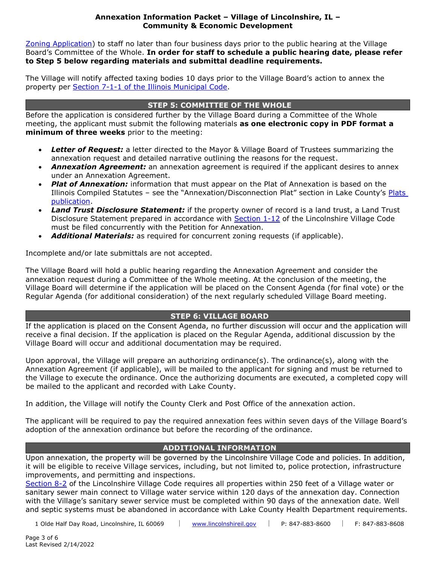#### **Annexation Information Packet – Village of Lincolnshire, IL – Community & Economic Development**

[Zoning Application\)](https://www.lincolnshireil.gov/sitemedia/documents/quick_links/permits-applications-policies/Plan_Zoning_App.pdf) to staff no later than four business days prior to the public hearing at the Village Board's Committee of the Whole. **In order for staff to schedule a public hearing date, please refer to Step 5 below regarding materials and submittal deadline requirements.**

The Village will notify affected taxing bodies 10 days prior to the Village Board's action to annex the property per [Section 7-1-1 of the Illinois Municipal Code.](https://ilga.gov/legislation/ilcs/ilcs4.asp?DocName=006500050HArt%2E+7+Div%2E+1&ActID=802&ChapterID=0&SeqStart=64800000&SeqEnd=70300000)

# **STEP 5: COMMITTEE OF THE WHOLE**

Before the application is considered further by the Village Board during a Committee of the Whole meeting, the applicant must submit the following materials **as one electronic copy in PDF format a minimum of three weeks** prior to the meeting:

- *Letter of Request:* a letter directed to the Mayor & Village Board of Trustees summarizing the annexation request and detailed narrative outlining the reasons for the request.
- *Annexation Agreement:* an annexation agreement is required if the applicant desires to annex under an Annexation Agreement.
- **Plat of Annexation:** information that must appear on the Plat of Annexation is based on the Illinois Compiled Statutes – see the "Annexation/Disconnection Plat" section in Lake County's [Plats](https://www.lakecountyil.gov/DocumentCenter/View/3202/Plat-Recording-Guidelines-PDF?bidId=)  [publication.](https://www.lakecountyil.gov/DocumentCenter/View/3202/Plat-Recording-Guidelines-PDF?bidId=)
- *Land Trust Disclosure Statement:* if the property owner of record is a land trust, a Land Trust Disclosure Statement prepared in accordance with **Section 1-12** of the Lincolnshire Village Code must be filed concurrently with the Petition for Annexation.
- *Additional Materials:* as required for concurrent zoning requests (if applicable).

Incomplete and/or late submittals are not accepted.

The Village Board will hold a public hearing regarding the Annexation Agreement and consider the annexation request during a Committee of the Whole meeting. At the conclusion of the meeting, the Village Board will determine if the application will be placed on the Consent Agenda (for final vote) or the Regular Agenda (for additional consideration) of the next regularly scheduled Village Board meeting.

# **STEP 6: VILLAGE BOARD**

If the application is placed on the Consent Agenda, no further discussion will occur and the application will receive a final decision. If the application is placed on the Regular Agenda, additional discussion by the Village Board will occur and additional documentation may be required.

Upon approval, the Village will prepare an authorizing ordinance(s). The ordinance(s), along with the Annexation Agreement (if applicable), will be mailed to the applicant for signing and must be returned to the Village to execute the ordinance. Once the authorizing documents are executed, a completed copy will be mailed to the applicant and recorded with Lake County.

In addition, the Village will notify the County Clerk and Post Office of the annexation action.

The applicant will be required to pay the required annexation fees within seven days of the Village Board's adoption of the annexation ordinance but before the recording of the ordinance.

# **ADDITIONAL INFORMATION**

Upon annexation, the property will be governed by the Lincolnshire Village Code and policies. In addition, it will be eligible to receive Village services, including, but not limited to, police protection, infrastructure improvements, and permitting and inspections.

[Section 8-2](https://www.lincolnshireil.gov/sitemedia/documents/quick_links/village-code/title-8/code0802.pdf) of the Lincolnshire Village Code requires all properties within 250 feet of a Village water or sanitary sewer main connect to Village water service within 120 days of the annexation day. Connection with the Village's sanitary sewer service must be completed within 90 days of the annexation date. Well and septic systems must be abandoned in accordance with Lake County Health Department requirements.

1 Olde Half Day Road, Lincolnshire, IL 60069 | [www.lincolnshireil.gov](http://www.lincolnshireil.gov/) | P: 847-883-8600 | F: 847-883-8608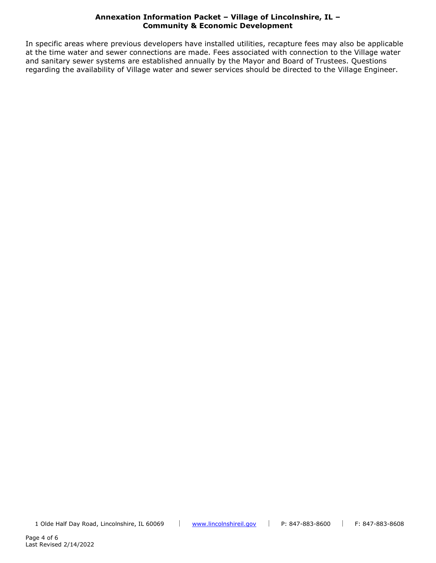#### **Annexation Information Packet – Village of Lincolnshire, IL – Community & Economic Development**

In specific areas where previous developers have installed utilities, recapture fees may also be applicable at the time water and sewer connections are made. Fees associated with connection to the Village water and sanitary sewer systems are established annually by the Mayor and Board of Trustees. Questions regarding the availability of Village water and sewer services should be directed to the Village Engineer.

1 Olde Half Day Road, Lincolnshire, IL 60069 | [www.lincolnshireil.gov](http://www.lincolnshireil.gov/) | P: 847-883-8600 | F: 847-883-8608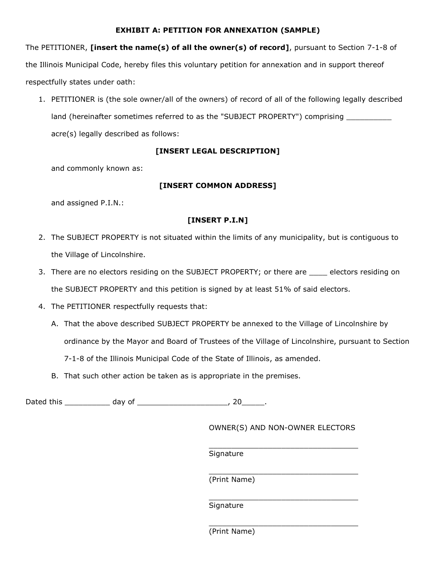# **LEXHIBIT A: PETITION FOR ANNEXATION (SAMPLE)**

The PETITIONER, **[insert the name(s) of all the owner(s) of record]**, pursuant to Section 7-1-8 of the Illinois Municipal Code, hereby files this voluntary petition for annexation and in support thereof respectfully states under oath:

1. PETITIONER is (the sole owner/all of the owners) of record of all of the following legally described land (hereinafter sometimes referred to as the "SUBJECT PROPERTY") comprising \_\_\_\_\_\_\_\_\_ acre(s) legally described as follows:

# **[INSERT LEGAL DESCRIPTION]**

and commonly known as:

# **[INSERT COMMON ADDRESS]**

and assigned P.I.N.:

# **[INSERT P.I.N]**

- 2. The SUBJECT PROPERTY is not situated within the limits of any municipality, but is contiguous to the Village of Lincolnshire.
- 3. There are no electors residing on the SUBJECT PROPERTY; or there are \_\_\_\_\_ electors residing on the SUBJECT PROPERTY and this petition is signed by at least 51% of said electors.
- 4. The PETITIONER respectfully requests that:
	- A. That the above described SUBJECT PROPERTY be annexed to the Village of Lincolnshire by ordinance by the Mayor and Board of Trustees of the Village of Lincolnshire, pursuant to Section 7-1-8 of the Illinois Municipal Code of the State of Illinois, as amended.
	- B. That such other action be taken as is appropriate in the premises.

Dated this \_\_\_\_\_\_\_\_\_\_\_\_\_ day of \_\_\_\_\_\_\_\_\_\_\_\_\_\_\_\_\_\_\_\_\_\_\_\_\_\_\_\_, 20\_\_\_\_\_\_\_.

OWNER(S) AND NON-OWNER ELECTORS

\_\_\_\_\_\_\_\_\_\_\_\_\_\_\_\_\_\_\_\_\_\_\_\_\_\_\_\_\_\_\_\_\_

\_\_\_\_\_\_\_\_\_\_\_\_\_\_\_\_\_\_\_\_\_\_\_\_\_\_\_\_\_\_\_\_\_

\_\_\_\_\_\_\_\_\_\_\_\_\_\_\_\_\_\_\_\_\_\_\_\_\_\_\_\_\_\_\_\_\_

Signature

\_\_\_\_\_\_\_\_\_\_\_\_\_\_\_\_\_\_\_\_\_\_\_\_\_\_\_\_\_\_\_\_\_ (Print Name)

Signature

(Print Name)